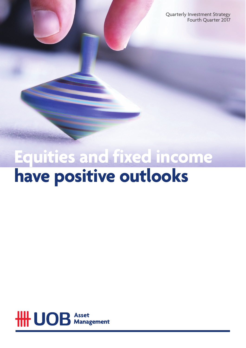Quarterly Investment Strategy Fourth Quarter 2017

# **Equities and fixed income have positive outlooks**

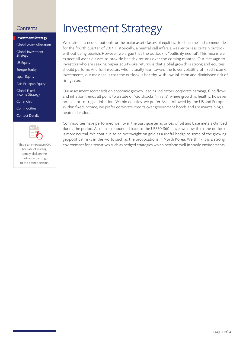#### **Investment Strategy**

Global Asset Allocation

Global Investment Strategy

US Equity

Europe Equity

Japan Equity

Asia Ex-Japan Equity

Global Fixed Income Strategy

Currencies

Commodities

Contact Details



This is an interactive PDF. For ease of reading, simply click on the navigation bar to go to the desired section.

## Contents **Investment Strategy**

We maintain a neutral outlook for the major asset classes of equities, fixed income and commodities for the fourth quarter of 2017. Historically, a neutral call infers a weaker or less certain outlook without being bearish. However, we argue that the outlook is "bullishly neutral". This means we expect all asset classes to provide healthy returns over the coming months. Our message to investors who are seeking higher equity-like returns is that global growth is strong and equities should perform. And for investors who naturally lean toward the lower volatility of fixed income investments, our message is that the outlook is healthy, with low inflation and diminished risk of rising rates.

Our assessment scorecards on economic growth, leading indicators, corporate earnings, fund flows and inflation trends all point to a state of "Goldilocks Nirvana" where growth is healthy, however not as hot to trigger inflation. Within equities, we prefer Asia, followed by the US and Europe. Within fixed income, we prefer corporate credits over government bonds and are maintaining a neutral duration.

Commodities have performed well over the past quarter as prices of oil and base metals climbed during the period. As oil has rebounded back to the US\$50-\$60 range, we now think the outlook is more neutral. We continue to be overweight on gold as a useful hedge to some of the growing geopolitical risks in the world such as the provocations in North Korea. We think it is a strong environment for alternatives such as hedged strategies which perform well in stable environments.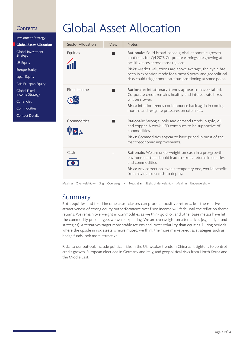Investment Strategy

**Global Asset Allocation**

Global Investment Strategy

US Equity

Europe Equity

Japan Equity

Asia Ex-Japan Equity

Global Fixed Income Strategy

Currencies

Commodities

Contact Details

## Global Asset Allocation

| Sector Allocation          | View | <b>Notes</b>                                                                                                                                                                                                                                                                                                                                      |
|----------------------------|------|---------------------------------------------------------------------------------------------------------------------------------------------------------------------------------------------------------------------------------------------------------------------------------------------------------------------------------------------------|
| Equities                   |      | Rationale: Solid broad-based global economic growth<br>continues for Q4 2017. Corporate earnings are growing at<br>healthy rates across most regions.<br>Risks: Market valuations are above average, the cycle has<br>been in expansion mode for almost 9 years, and geopolitical<br>risks could trigger more cautious positioning at some point. |
| Fixed Income               |      | Rationale: Inflationary trends appear to have stalled.<br>Corporate credit remains healthy and interest rate hikes<br>will be slower.<br>Risks: Inflation trends could bounce back again in coming<br>months and re-ignite pressures on rate hikes.                                                                                               |
| Commodities<br>$\bullet$ 2 |      | Rationale: Strong supply and demand trends in gold, oil,<br>and copper. A weak USD continues to be supportive of<br>commodities.<br>Risks: Commodities appear to have priced in most of the<br>macroeconomic improvements.                                                                                                                        |
| Cash                       |      | Rationale: We are underweight on cash in a pro-growth<br>environment that should lead to strong returns in equities<br>and commodities.<br>Risks: Any correction, even a temporary one, would benefit<br>from having extra cash to deploy.                                                                                                        |

Maximum Overweight: ++ Slight Overweight: + Neutral: Slight Underweight: - Maximum Underweight: --

### Summary

Both equities and fixed income asset classes can produce positive returns, but the relative attractiveness of strong equity outperformance over fixed income will fade until the reflation theme returns. We remain overweight in commodities as we think gold, oil and other base metals have hit the commodity price targets we were expecting. We are overweight on alternatives (e.g. hedge fund strategies). Alternatives target more stable returns and lower volatility than equities. During periods where the upside in risk assets is more muted, we think the more market-neutral strategies such as hedge funds look more attractive.

Risks to our outlook include political risks in the US, weaker trends in China as it tightens to control credit growth, European elections in Germany and Italy, and geopolitical risks from North Korea and the Middle East.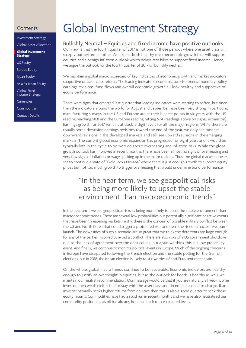Investment Strategy

Global Asset Allocation

**Global Investment Strategy**

US Equity

Europe Equity

Japan Equity

Asia Ex-Japan Equity

Global Fixed Income Strategy

Currencies

Commodities

Contact Details

## Global Investment Strategy

#### Bullishly Neutral – Equities and fixed income have positive outlooks

Our view is that the fourth quarter of 2017 is not one of those periods where one asset class will sharply outperform another. We expect both healthy macroeconomic growth that will support equities and a benign inflation outlook which delays rate hikes to support fixed income. Hence, we argue the outlook for the fourth quarter of 2017 is "bullishly neutral".

We maintain a global macro scorecard of key indicators of economic growth and market indicators supportive of asset class returns. The leading indicators, economic surprise trends, monetary policy, earnings revisions, fund flows and overall economic growth all look healthy and supportive of equity performance.

There were signs that emerged last quarter that leading indicators were starting to soften, but since then the indicators around the world for August and September have been very strong. In particular, manufacturing surveys in the US and Europe are at their highest points in six years with the US reading reaching 58.8 and the Eurozone reading hitting 57.4 (readings above 50 signal expansion). Earnings growth for 2017 remains at double digit levels for all the major regions. While there are usually some downside earnings revisions toward the end of the year, we only see modest downward revisions in the developed markets and still see upward revisions in the emerging markets. The current global economic expansion has progressed for eight years and it would be typically late in the cycle to be worried about overheating and inflation risks. While the global growth outlook has improved in recent months, there have been almost no signs of overheating and very few signs of inflation or wages picking up in the major regions. Thus, the global market appears set to continue a state of "Goldilocks Nirvana" where there is just enough growth to support equity prices but not too much growth to trigger overheating that would undermine bond performance.

### "In the near term, we see geopolitical risks as being more likely to upset the stable environment than macroeconomic trends"

In the near term, we see geopolitical risks as being more likely to upset the stable environment than macroeconomic trends. There are several low probabilities but potentially significant negative events that have been threatening markets. Firstly, there is the concern of possible military conflict between the US and North Korea that could trigger a protracted war, and even the risk of a nuclear weapon launch. The downsides of such a scenario are so great that we think the deterrents are large enough for any of the parties involved to avoid a conflict. There are also risks of a US government shutdown due to the lack of agreement over the debt ceiling, but again we think this is a low probability event. And finally, we continue to monitor political events in Europe. Much of the ongoing concerns in Europe have dissipated following the French election and the stable polling for the German elections, but in 2018, the Italian election is likely to stir worries of anti-Euro sentiment again.

On the whole, global macro trends continue to be favourable. Economic indicators are healthy enough to justify an overweight in equities, but as the outlook for bonds is healthy as well, we maintain our neutral recommendation. Our message would be that if you are naturally a fixed-income investor, then we think it is fine to stay with the asset class and do not see a need to change. If an investor naturally seeks higher returns from equities then this is also a good quarter to seek those equity returns. Commodities have had a solid run in recent months and we have also neutralised our commodity positioning as oil has already bounced back to our targeted levels.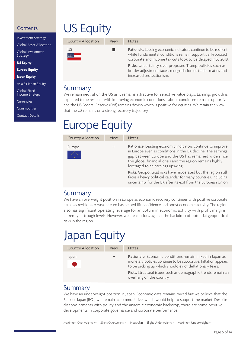Investment Strategy

Global Asset Allocation

Global Investment Strategy

**US Equity**

**Europe Equity**

**Japan Equity**

Asia Ex-Japan Equity

Global Fixed Income Strategy

Currencies

Commodities

Contact Details

# US Equity

| Country Allocation | View | <b>Notes</b>                                                                                                                                                                                                                                                                                                                                      |
|--------------------|------|---------------------------------------------------------------------------------------------------------------------------------------------------------------------------------------------------------------------------------------------------------------------------------------------------------------------------------------------------|
| US<br>躑躅           |      | Rationale: Leading economic indicators continue to be resilient<br>while fundamental conditions remain supportive. Proposed<br>corporate and income tax cuts look to be delayed into 2018.<br>Risks: Uncertainty over proposed Trump policies such as<br>border adjustment taxes, renegotiation of trade treaties and<br>increased protectionism. |

### Summary

We remain neutral on the US as it remains attractive for selective value plays. Earnings growth is expected to be resilient with improving economic conditions. Labour conditions remain supportive and the US Federal Reserve (Fed) remains dovish which is positive for equities. We retain the view that the US remains on a strong recovery trajectory.

## Europe Equity

| Country Allocation                                                                                                                                             | View | <b>Notes</b>                                                                                                                                                                                                                                                                          |  |  |
|----------------------------------------------------------------------------------------------------------------------------------------------------------------|------|---------------------------------------------------------------------------------------------------------------------------------------------------------------------------------------------------------------------------------------------------------------------------------------|--|--|
| Europe<br>$\begin{bmatrix} \mathbf{x}^{t, \mathbf{x}} \\ \mathbf{x}^{t, \mathbf{x}} \\ \mathbf{x}^{t, \mathbf{x}} \\ \mathbf{x}^{t, \mathbf{x}} \end{bmatrix}$ |      | Rationale: Leading economic indicators continue to improve<br>in Europe even as conditions in the UK decline. The earnings<br>gap between Europe and the US has remained wide since<br>the global financial crisis and the region remains highly<br>leveraged to an earnings upswing. |  |  |
|                                                                                                                                                                |      | Risks: Geopolitical risks have moderated but the region still<br>faces a heavy political calendar for many countries, including<br>uncertainty for the UK after its exit from the European Union.                                                                                     |  |  |

### Summary

We have an overweight position in Europe as economic recovery continues with positive corporate earnings revisions. A weaker euro has helped lift confidence and boost economic activity. The region also has significant operating leverage for an upturn in economic activity with profit margins currently at trough levels. However, we are cautious against the backdrop of potential geopolitical risks in the region.

## Japan Equity

| Country Allocation              | View | <b>Notes</b>                                                                                                                                                                         |
|---------------------------------|------|--------------------------------------------------------------------------------------------------------------------------------------------------------------------------------------|
| Japan<br><b>Service Service</b> |      | Rationale: Economic conditions remain mixed in Japan as<br>monetary policies continue to be supportive. Inflation appears<br>to be picking up which should evict deflationary fears. |
|                                 |      | Risks: Structural issues such as demographic trends remain an<br>overhang on the country.                                                                                            |

### **Summary**

We have an underweight position in Japan. Economic data remains mixed but we believe that the Bank of Japan (BOJ) will remain accommodative, which would help to support the market. Despite disappointments with policy and the anaemic economic backdrop, there are some positive developments in corporate governance and corporate performance.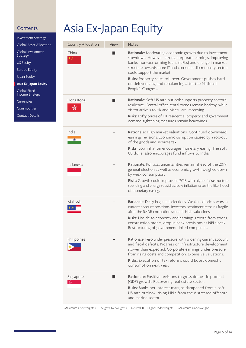Investment Strategy Global Asset Allocation Global Investment **Strategy** US Equity Europe Equity Japan Equity **Asia Ex-Japan Equity** Global Fixed Income Strategy

Currencies

Commodities

Contact Details

## Asia Ex-Japan Equity

| Country Allocation        | View | <b>Notes</b>                                                                                                                                                                                                                                                               |
|---------------------------|------|----------------------------------------------------------------------------------------------------------------------------------------------------------------------------------------------------------------------------------------------------------------------------|
| China<br>★ৣ               |      | Rationale: Moderating economic growth due to investment<br>slowdown. However, strong corporate earnings, improving<br>banks' non-performing loans (NPLs) and change in market<br>structure towards more IT and consumer discretionary sectors<br>could support the market. |
|                           |      | Risks: Property sales roll over. Government pushes hard<br>on deleveraging and rebalancing after the National<br>People's Congress.                                                                                                                                        |
| Hong Kong                 |      | Rationale: Soft US rate outlook supports property sector's<br>resilience. Central office rental trends remain healthy, while<br>visitor arrivals to HK and Macau are improving.                                                                                            |
|                           |      | Risks: Lofty prices of HK residential property and government<br>demand-tightening measures remain headwinds.                                                                                                                                                              |
| India                     |      | Rationale: High market valuations. Continued downward<br>earnings revisions. Economic disruption caused by a roll-out<br>of the goods and services tax.                                                                                                                    |
|                           |      | Risks: Low inflation encourages monetary easing. The soft<br>US dollar also encourages fund inflows to India.                                                                                                                                                              |
| Indonesia                 |      | Rationale: Political uncertainties remain ahead of the 2019<br>general election as well as economic growth weighed down<br>by weak consumption.                                                                                                                            |
|                           |      | Risks: Growth could improve in 2018 with higher infrastructure<br>spending and energy subsidies. Low inflation raises the likelihood<br>of monetary easing.                                                                                                                |
| Malaysia                  |      | Rationale: Delay in general elections. Weaker oil prices worsen<br>current account positions. Investors' sentiment remains fragile<br>after the IMDB corruption scandal. High valuations.                                                                                  |
|                           |      | Risks: Upside to economy and earnings growth from strong<br>construction orders, drop in bank provisions as NPLs peak.<br>Restructuring of government linked companies.                                                                                                    |
| Philippines               |      | Rationale: Peso under pressure with widening current account<br>and fiscal deficits. Progress on infrastructure development<br>slower than expected. Corporate earnings under pressure<br>from rising costs and competition. Expensive valuations.                         |
|                           |      | Risks: Execution of tax reforms could boost domestic<br>consumption next year.                                                                                                                                                                                             |
| Singapore<br>$\mathbb{G}$ |      | Rationale: Positive revisions to gross domestic product<br>(GDP) growth. Recovering real estate sector.<br>Risks: Banks net interest margins dampened from a soft<br>US rate outlook, rising NPLs from the distressed offshore<br>and marine sector.                       |

Maximum Overweight: ++ Slight Overweight: + Neutral: Slight Underweight: - Maximum Underweight: --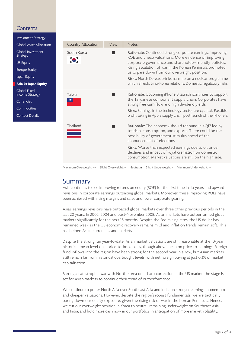Investment Strategy Global Asset Allocation Global Investment Strategy

US Equity

Europe Equity

Japan Equity

**Asia Ex-Japan Equity**

Global Fixed Income Strategy

Currencies

Commodities

Contact Details



Maximum Overweight: ++ Slight Overweight: + Neutral: Slight Underweight: - Maximum Underweight: --

### Summary

Asia continues to see improving returns on equity (ROE) for the first time in six years and upward revisions in corporate earnings outpacing global markets. Moreover, these improving ROEs have been achieved with rising margins and sales and lower corporate gearing.

Asia's earnings revisions have outpaced global markets over three other previous periods in the last 20 years. In 2002, 2004 and post-November 2008, Asian markets have outperformed global markets significantly for the next 18 months. Despite the Fed raising rates, the US dollar has remained weak as the US economic recovery remains mild and inflation trends remain soft. This has helped Asian currencies and markets.

Despite the strong run year-to-date, Asian market valuations are still reasonable at the 10-year historical mean level on a price-to-book basis, though above mean on price-to-earnings. Foreign fund inflows into the region have been strong for the second year in a row, but Asian markets still remain far from historical overbought levels, with net foreign buying at just 0.3% of market capitalisation.

Barring a catastrophic war with North Korea or a sharp correction in the US market, the stage is set for Asian markets to continue their trend of outperformance.

We continue to prefer North Asia over Southeast Asia and India on stronger earnings momentum and cheaper valuations. However, despite the region's robust fundamentals, we are tactically paring down our equity exposure, given the rising risk of war in the Korean Peninsula. Hence, we cut our overweight position in Korea to neutral, remaining underweight on Southeast Asia and India, and hold more cash now in our portfolios in anticipation of more market volatility.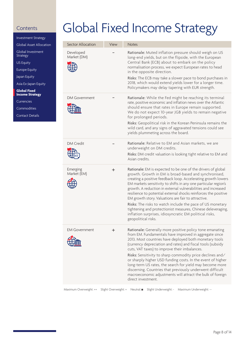Investment Strategy

Global Asset Allocation

Global Investment Strategy

US Equity

Europe Equity

Japan Equity

Asia Ex-Japan Equity

**Global Fixed Income Strategy**

Currencies

**Commodities** 

Contact Details

## Global Fixed Income Strategy

| Sector Allocation        | View | <b>Notes</b>                                                                                                                                                                                                                                                                                                                                                                                                                                                                                                                                                                                                                                                       |
|--------------------------|------|--------------------------------------------------------------------------------------------------------------------------------------------------------------------------------------------------------------------------------------------------------------------------------------------------------------------------------------------------------------------------------------------------------------------------------------------------------------------------------------------------------------------------------------------------------------------------------------------------------------------------------------------------------------------|
| Developed<br>Market (DM) |      | Rationale: Muted inflation pressure should weigh on US<br>long-end yields, but on the flipside, with the European<br>Central Bank (ECB) about to embark on the policy<br>normalisation process, we expect European rates to head<br>in the opposite direction.<br>Risks: The ECB may take a slower pace to bond purchases in<br>2018, which would extend yields lower for a longer time.<br>Policymakers may delay tapering with EUR strength.                                                                                                                                                                                                                     |
| <b>DM Government</b>     |      | Rationale: While the Fed might be reaching its terminal<br>rate, positive economic and inflation news over the Atlantic<br>should ensure that rates in Europe remain supported.<br>We do not expect 10-year JGB yields to remain negative<br>for prolonged periods.<br>Risks: Geopolitical risk in the Korean Peninsula remains the<br>wild card, and any signs of aggravated tensions could see<br>yields plummeting across the board.                                                                                                                                                                                                                            |
| <b>DM Credit</b>         |      | Rationale: Relative to EM and Asian markets, we are<br>underweight on DM credits.<br>Risks: DM credit valuation is looking tight relative to EM and<br>Asian credits                                                                                                                                                                                                                                                                                                                                                                                                                                                                                               |
| Emerging<br>Market (EM)  | ÷    | Rationale: EM is expected to be one of the drivers of global<br>growth. Growth in EM is broad-based and synchronised,<br>creating a positive feedback loop. Accelerating growth lowers<br>EM markets sensitivity to shifts in any one particular region's<br>growth. A reduction in external vulnerabilities and increased<br>resilience to potential external shocks reinforces the positive<br>EM growth story. Valuations are fair to attractive.<br>Risks: The risks to watch include the pace of US monetary<br>tightening and protectionist measures, Chinese deleveraging,<br>inflation surprises, idiosyncratic EM political risks,<br>geopolitical risks. |
| <b>EM Government</b>     | ┿    | Rationale: Generally more positive policy tone emanating<br>from EM. Fundamentals have improved in aggregate since<br>2013. Most countries have deployed both monetary tools<br>(currency depreciation and rates) and fiscal tools (subsidy<br>cuts, VAT taxes) to improve their imbalances.<br>Risks: Sensitivity to sharp commodity price declines and/<br>or sharply higher USD funding costs. In the event of higher<br>long-term US rates, the search for yield may become more<br>discerning. Countries that previously underwent difficult<br>macroeconomic adjustments will attract the bulk of foreign<br>direct investment.                              |

Maximum Overweight: ++ Slight Overweight: + Neutral: Slight Underweight: - Maximum Underweight: --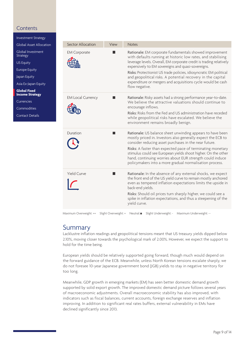Investment Strategy

Global Asset Allocation

Global Investment Strategy

US Equity

Europe Equity

Japan Equity

Asia Ex-Japan Equity

**Global Fixed Income Strategy**

Currencies

Commodities

Contact Details

| Sector Allocation        | View | <b>Notes</b>                                                                                                                                                                                                                                                                                                                                                                                                                                                               |
|--------------------------|------|----------------------------------------------------------------------------------------------------------------------------------------------------------------------------------------------------------------------------------------------------------------------------------------------------------------------------------------------------------------------------------------------------------------------------------------------------------------------------|
| <b>EM Corporate</b>      |      | Rationale: EM corporate fundamentals showed improvement<br>with defaults running at historic low rates, and stabilising<br>leverage levels. Overall, EM corporate credit is trading relatively<br>expensively to EM sovereigns and quasi-sovereigns.<br>Risks: Protectionist US trade policies, idiosyncratic EM political<br>and geopolitical risks. A potential recovery in the capital<br>expenditure or mergers and acquisitions cycle would be cash<br>flow negative. |
| <b>EM Local Currency</b> |      | Rationale: Risky assets had a strong performance year-to-date.<br>We believe the attractive valuations should continue to<br>encourage inflows.<br>Risks: Risks from the Fed and US administration have receded<br>while geopolitical risks have escalated. We believe the<br>environment remains broadly benign.                                                                                                                                                          |
| Duration                 |      | Rationale: US balance sheet unwinding appears to have been<br>mostly priced in. Investors also generally expect the ECB to<br>consider reducing asset purchases in the near future.<br>Risks: A faster than expected pace of terminating monetary<br>stimulus could see European yields shoot higher. On the other<br>hand, continuing worries about EUR strength could induce<br>policymakers into a more gradual normalisation process.                                  |
| <b>Yield Curve</b>       |      | Rationale: In the absence of any external shocks, we expect<br>the front end of the US yield curve to remain mostly anchored<br>even as tempered inflation expectations limits the upside in<br>back-end yields.<br>Risks: Should oil prices turn sharply higher, we could see a<br>spike in inflation expectations, and thus a steepening of the<br>yield curve.                                                                                                          |

Maximum Overweight: ++ Slight Overweight: + Neutral: Slight Underweight: - Maximum Underweight: --

### Summary

Lacklustre inflation readings and geopolitical tensions meant that US treasury yields dipped below 2.10%, moving closer towards the psychological mark of 2.00%. However, we expect the support to hold for the time being.

European yields should be relatively supported going forward, though much would depend on the forward guidance of the ECB. Meanwhile, unless North Korean tensions escalate sharply, we do not foresee 10-year Japanese government bond (JGB) yields to stay in negative territory for too long.

Meanwhile, GDP growth in emerging markets (EM) has seen better domestic demand growth supported by solid export growth. The improved domestic demand picture follows several years of macroeconomic adjustments. Overall macroeconomic stability has also improved, with indicators such as fiscal balances, current accounts, foreign exchange reserves and inflation improving. In addition to significant real rates buffers, external vulnerability in EMs have declined significantly since 2013.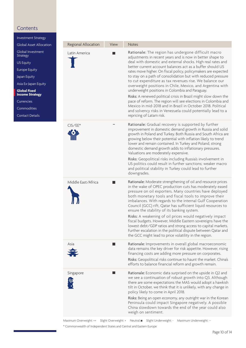Investment Strategy

Global Investment

Asia Ex-Japan Equity

**Global Fixed Income Strategy** Currencies Commodities Contact Details

Strategy US Equity Europe Equity Japan Equity

Regional Allocation View Notes Global Asset Allocation Rationale: The region has undergone difficult macro Latin America adjustments in recent years and is now in better shape to deal with domestic and external shocks. High real rates and better current account balances act as a buffer should US rates move higher. On fiscal policy, policymakers are expected to stay on a path of consolidation but with reduced pressure to cut expenditure as tax revenues rise. We balance our overweight positions in Chile, Mexico, and Argentina with underweight positions in Colombia and Paraguay. Risks: A renewed political crisis in Brazil might slow down the pace of reform. The region will see elections in Colombia and Mexico in mid-2018 and in Brazil in October 2018. Political and solvency risks in Venezuela could potentially lead to a repricing of Latam risk. -Rationale: Gradual recovery is supported by further CIS/EE\* improvement in domestic demand growth in Russia and solid growth in Poland and Turkey. Both Russia and South Africa are growing below their potential with inflation likely to trend lower and remain contained. In Turkey and Poland, strong domestic demand growth adds to inflationary pressures. Valuations are moderately expensive. Risks: Geopolitical risks including Russia's involvement in US politics could result in further sanctions; weaker macro and political stability in Turkey could lead to further downgrades. Middle East/Africa Rationale: Moderate strengthening of oil and resource prices in the wake of OPEC production cuts has moderately eased pressure on oil exporters. Many countries have deployed both monetary tools and fiscal tools to improve their imbalances. With regards to the internal Gulf Cooperation Council (GCC) rift, Qatar has sufficient liquid resources to ensure the stability of its banking system. Risks: A weakening of oil prices would negatively impact fiscal budgets. However, Middle Eastern sovereigns have the lowest debt/GDP ratios and strong access to capital markets. Further escalation in the political dispute between Qatar and the GCC might lead to price volatility in the region.  $\blacksquare$ Rationale: Improvements in overall global macroeconomic Asia data remains the key driver for risk appetite. However, rising financing costs are adding more pressure on corporates. Risks: Geopolitical risks continue to haunt the market. China's efforts to balance financial reform and growth remain. Singapore П Rationale: Economic data surprised on the upside in Q2 and we see a continuation of robust growth into Q3. Although there are some expectations the MAS would adopt a hawkish tilt in October, we think that it is unlikely, with any change in policy likely to come in April 2018. Risks: Being an open economy, any outright war in the Korean Peninsula could impact Singapore negatively. A possible China slowdown towards the end of the year could also weigh on sentiment.

> Maximum Overweight: ++ Slight Overweight: + Neutral: Slight Underweight: - Maximum Underweight: --\* Commonwealth of Independent States and Central and Eastern Europe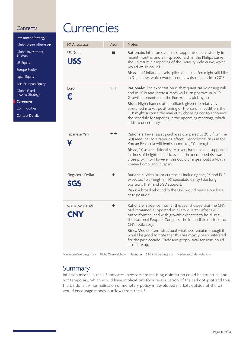Investment Strategy

Global Asset Allocation

Global Investment Strategy

US Equity

Europe Equity

Japan Equity

Asia Ex-Japan Equity

Global Fixed Income Strategy

**Currencies**

Commodities

Contact Details

## **Currencies**

| <b>FX Allocation</b><br>View<br><b>Notes</b><br><b>US Dollar</b><br>Rationale: Inflation data has disappointed consistently in<br>recent months, and a misplaced faith in the Philips curve<br><b>USS</b><br>should result in a repricing of the Treasury yield curve, which<br>would weigh on USD.<br>Risks: If US inflation levels spike higher, the Fed might still hike<br>in December, which would send hawkish signals into 2018.<br>Euro<br>$+ +$<br>Rationale: The expectation is that quantitative easing will<br>end in 2018 and interest rates will turn positive in 2019.<br>€<br>Growth momentum in the Eurozone is picking up.<br>Risks: High chances of a pullback given the relatively<br>stretched market positioning of the Euro. In addition, the<br>ECB might surprise the market by choosing not to announce<br>the schedule for tapering in the upcoming meetings, which<br>adds to uncertainty.<br>$+ +$<br>Japanese Yen<br>Rationale: Fewer asset purchases compared to 2016 from the<br>BOJ amounts to a tapering effect. Geopolitical risks in the<br>¥<br>Korean Peninsula will lend support to JPY strength.<br>Risks: JPY, as a traditional safe haven, has remained supported<br>in times of heightened risk, even if the mentioned risk was in<br>close proximity. However, this could change should a North<br>Korean bomb land in Japan.<br>Singapore Dollar<br>Rationale: With major currencies including the JPY and EUR<br>$\pm$<br>expected to strengthen, FX speculators may take long<br><b>SGS</b><br>positions that lend SGD support.<br>Risks: A broad rebound in the USD would reverse our base<br>case position.<br>China Renminbi<br>Rationale: Evidence thus far this year showed that the CNY<br>÷<br>had remained supported in every quarter after GDP<br><b>CNY</b><br>outperformed, and with growth expected to hold up till<br>the National People's Congress, the immediate outlook for<br>CNY looks rosy.<br>Risks: Medium term structural weakness remains, though it<br>would be good to note that this has mostly been reiterated<br>for the past decade. Trade and geopolitical tensions could<br>also flare up. |  |  |
|---------------------------------------------------------------------------------------------------------------------------------------------------------------------------------------------------------------------------------------------------------------------------------------------------------------------------------------------------------------------------------------------------------------------------------------------------------------------------------------------------------------------------------------------------------------------------------------------------------------------------------------------------------------------------------------------------------------------------------------------------------------------------------------------------------------------------------------------------------------------------------------------------------------------------------------------------------------------------------------------------------------------------------------------------------------------------------------------------------------------------------------------------------------------------------------------------------------------------------------------------------------------------------------------------------------------------------------------------------------------------------------------------------------------------------------------------------------------------------------------------------------------------------------------------------------------------------------------------------------------------------------------------------------------------------------------------------------------------------------------------------------------------------------------------------------------------------------------------------------------------------------------------------------------------------------------------------------------------------------------------------------------------------------------------------------------------------------------------------------------------------------------------------------------------|--|--|
|                                                                                                                                                                                                                                                                                                                                                                                                                                                                                                                                                                                                                                                                                                                                                                                                                                                                                                                                                                                                                                                                                                                                                                                                                                                                                                                                                                                                                                                                                                                                                                                                                                                                                                                                                                                                                                                                                                                                                                                                                                                                                                                                                                           |  |  |
|                                                                                                                                                                                                                                                                                                                                                                                                                                                                                                                                                                                                                                                                                                                                                                                                                                                                                                                                                                                                                                                                                                                                                                                                                                                                                                                                                                                                                                                                                                                                                                                                                                                                                                                                                                                                                                                                                                                                                                                                                                                                                                                                                                           |  |  |
|                                                                                                                                                                                                                                                                                                                                                                                                                                                                                                                                                                                                                                                                                                                                                                                                                                                                                                                                                                                                                                                                                                                                                                                                                                                                                                                                                                                                                                                                                                                                                                                                                                                                                                                                                                                                                                                                                                                                                                                                                                                                                                                                                                           |  |  |
|                                                                                                                                                                                                                                                                                                                                                                                                                                                                                                                                                                                                                                                                                                                                                                                                                                                                                                                                                                                                                                                                                                                                                                                                                                                                                                                                                                                                                                                                                                                                                                                                                                                                                                                                                                                                                                                                                                                                                                                                                                                                                                                                                                           |  |  |
|                                                                                                                                                                                                                                                                                                                                                                                                                                                                                                                                                                                                                                                                                                                                                                                                                                                                                                                                                                                                                                                                                                                                                                                                                                                                                                                                                                                                                                                                                                                                                                                                                                                                                                                                                                                                                                                                                                                                                                                                                                                                                                                                                                           |  |  |
|                                                                                                                                                                                                                                                                                                                                                                                                                                                                                                                                                                                                                                                                                                                                                                                                                                                                                                                                                                                                                                                                                                                                                                                                                                                                                                                                                                                                                                                                                                                                                                                                                                                                                                                                                                                                                                                                                                                                                                                                                                                                                                                                                                           |  |  |

Maximum Overweight: ++ Slight Overweight: + Neutral: Slight Underweight: - Maximum Underweight: --

### Summary

Inflation misses in the US indicates investors are realising disinflation could be structural and not temporary, which would have implications for a re-evaluation of the Fed dot-plot and thus the US dollar. A normalisation of monetary policy in developed markets outside of the US would encourage money outflows from the US.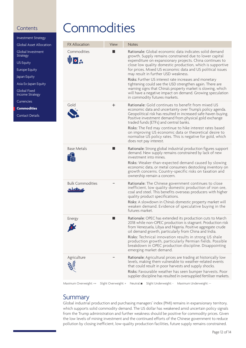Investment Strategy

Global Asset Allocation

Global Investment Strategy

US Equity

Europe Equity

Japan Equity

Asia Ex-Japan Equity

Global Fixed Income Strategy

**Currencies** 

**Commodities**

Contact Details

## **Commodities**

| <b>FX Allocation</b>               | View | <b>Notes</b>                                                                                                                                                                                                                                                                                                                                                                                                                                                                                                                                                                                                                          |
|------------------------------------|------|---------------------------------------------------------------------------------------------------------------------------------------------------------------------------------------------------------------------------------------------------------------------------------------------------------------------------------------------------------------------------------------------------------------------------------------------------------------------------------------------------------------------------------------------------------------------------------------------------------------------------------------|
| Commodities<br>UIO &               |      | Rationale: Global economic data indicates solid demand<br>growth. Supply remains constrained due to lower capital<br>expenditure on expansionary projects. China continues to<br>close low quality domestic production, which is supportive<br>for prices. Mixed US economic data and US political issues<br>may result in further USD weakness.<br>Risks: Further US interest rate increases and monetary<br>tightening could see the USD strengthen again. There are<br>warning signs that China's property market is slowing, which<br>will have a negative impact on demand. Growing speculation<br>in commodity futures markets. |
| Gold                               | ÷    | <b>Rationale:</b> Gold continues to benefit from mixed US<br>economic data and uncertainty over Trump's policy agenda.<br>Geopolitical risk has resulted in increased safe-haven buying.<br>Positive investment demand from physical gold exchange<br>traded funds (ETFs) and central banks.<br>Risks: The Fed may continue to hike interest rates based<br>on improving US economic data or theoretical desire to<br>normalise US policy rates. This is negative for gold, which<br>does not pay interest.                                                                                                                           |
| <b>Base Metals</b>                 |      | Rationale: Strong global industrial production figures support<br>demand. New supply remains constrained by lack of new<br>investment into mines.<br>Risks: Weaker-than-expected demand caused by slowing<br>economic data, or metal consumers destocking inventory on<br>growth concerns. Country-specific risks on taxation and<br>ownership remain a concern.                                                                                                                                                                                                                                                                      |
| <b>Bulk Commodities</b><br>ويعتادك |      | Rationale: The Chinese government continues to close<br>inefficient, low quality domestic production of iron ore,<br>coal and steel. This benefits overseas producers with higher<br>quality product specifications.<br>Risks: A slowdown in China's domestic property market will<br>weaken demand. Evidence of speculative buying in the<br>futures market.                                                                                                                                                                                                                                                                         |
| Energy<br>X.                       | l a  | Rationale: OPEC has extended its production cuts to March<br>2018 while non-OPEC production is stagnant. Production risk<br>from Venezuela, Libya and Nigeria. Positive aggregate crude<br>oil demand growth, particularly from China and India.<br>Risks: Technical innovation results in strong US shale<br>production growth, particularly Permian fields. Possible<br>breakdown in OPEC production discipline. Disappointing<br>emerging market demand.                                                                                                                                                                           |
| Agriculture                        |      | <b>Rationale:</b> Agricultural prices are trading at historically low<br>levels, making them vulnerable to weather-related events<br>that could result in poor harvests and supply shocks.<br>Risks: Favourable weather has seen bumper harvests. Poor<br>supplier discipline has resulted in oversupplied fertiliser markets.                                                                                                                                                                                                                                                                                                        |

Maximum Overweight: ++ Slight Overweight: + Neutral: Slight Underweight: - Maximum Underweight: --

### **Summary**

Global industrial production and purchasing managers' index (PMI) remains in expansionary territory, which supports solid commodity demand. The US dollar has weakened amid uncertain policy signals from the Trump administration and further weakness should be positive for commodity prices. Given the low levels of mining investment and the continued efforts of the Chinese government to reduce pollution by closing inefficient, low-quality production facilities, future supply remains constrained.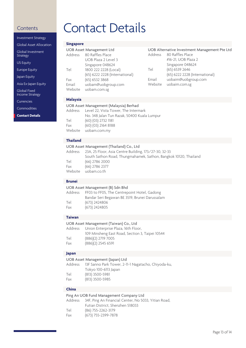| <b>Investment Strategy</b>           |
|--------------------------------------|
| Global Asset Allocation              |
| Global Investment<br><b>Strategy</b> |
| <b>US Equity</b>                     |
| <b>Europe Equity</b>                 |
| Japan Equity                         |
| Asia Ex-Japan Equity                 |
|                                      |

Global Fixed Income Strategy

Currencies

Commodities

**Contact Details**

## Contents Contact Details

### **Singapore**

|                  | <b>UOB Asset Management Ltd</b>    |         | UOB Alternative Investment Management Pte Ltd |
|------------------|------------------------------------|---------|-----------------------------------------------|
| Address          | 80 Raffles Place                   | Address | 80 Raffles Place                              |
|                  | UOB Plaza 2 Level 3                |         | #16-21, UOB Plaza 2                           |
|                  | Singapore 048624                   |         | Singapore 048624                              |
| Tel              | 1800 222 2228 (Local)              | Tel     | (65) 6539 2646                                |
|                  | (65) 6222 2228 (International)     |         | (65) 6222 2228 (International)                |
| Fax              | (65) 6532 3868                     | Email   | uobaim@uobgroup.com                           |
| Email<br>Website | uobam@uobgroup.com<br>uobam.com.sg | Website | uobaim.com.sg                                 |
|                  |                                    |         |                                               |

#### **Malaysia**

|     | UOB Asset Management (Malaysia) Berhad       |
|-----|----------------------------------------------|
|     | Address Level 22, Vista Tower, The Intermark |
|     | No. 348 Jalan Tun Razak, 50400 Kuala Lumpur  |
| Tel | (60) (03) 2732 1181                          |
| Fax | (60) (03) 2164 8188                          |
|     | Website uobam.com.my                         |
|     |                                              |

#### **Thailand**

|         | UOB Asset Management (Thailand) Co., Ltd                         |
|---------|------------------------------------------------------------------|
|         | Address 23A, 25 Floor, Asia Centre Building, 173/27-30, 32-33    |
|         | South Sathon Road, Thungmahamek, Sathon, Bangkok 10120, Thailand |
| Tel     | $(66)$ 2786 2000                                                 |
| Fax     | $(66)$ 2786 2377                                                 |
| Website | uobam.co.th                                                      |
|         |                                                                  |

#### **Brunei**

| UOB Asset Management (B) Sdn Bhd |                                                     |  |
|----------------------------------|-----------------------------------------------------|--|
|                                  | Address FF03 to FF05, The Centrepoint Hotel, Gadong |  |
|                                  | Bandar Seri Begawan BE 3519, Brunei Darussalam      |  |
| Tel                              | $(673)$ 2424806                                     |  |
| Fax                              | (673) 2424805                                       |  |

#### **Taiwan**

|     | UOB Asset Management (Taiwan) Co., Ltd          |
|-----|-------------------------------------------------|
|     | Address Union Enterprise Plaza, 16th Floor,     |
|     | 109 Minsheng East Road, Section 3, Taipei 10544 |
| Tel | (886)(2) 2719 7005                              |
| Fax | $(886)(2)$ 2545 6591                            |
|     |                                                 |

#### **Japan**

| UOB Asset Management (Japan) Ltd |                                                     |  |  |
|----------------------------------|-----------------------------------------------------|--|--|
| Address                          | 13F Sanno Park Tower, 2-11-1 Nagatacho, Chiyoda-ku, |  |  |
|                                  | Tokyo 100-6113 Japan                                |  |  |
| Tel                              | $(813)$ 3500-5981                                   |  |  |
| Fax                              | (813) 3500-5985                                     |  |  |

#### **China**

| Ping An UOB Fund Management Company Ltd |                                                              |  |
|-----------------------------------------|--------------------------------------------------------------|--|
|                                         | Address 34F, Ping An Financial Center, No 5033, Yitian Road, |  |
|                                         | Futian District. Shenzhen 518033                             |  |
| Tel                                     | (86) 755-2262-3179                                           |  |
| Fax                                     | (673) 755-2399-7878                                          |  |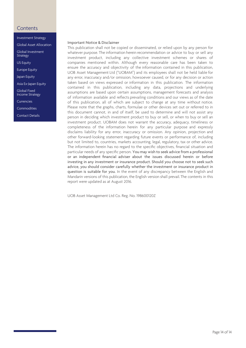- Investment Strategy
- Global Asset Allocation

Global Investment **Strategy** 

US Equity

Europe Equity

Japan Equity

Asia Ex-Japan Equity

Global Fixed Income Strategy

Currencies

Commodities

Contact Details

#### Important Notice & Disclaimer

This publication shall not be copied or disseminated, or relied upon by any person for whatever purpose. The information herein recommendation or advice to buy or sell any investment product, including any collective investment schemes or shares of companies mentioned within. Although every reasonable care has been taken to ensure the accuracy and objectivity of the information contained in this publication, UOB Asset Management Ltd ("UOBAM") and its employees shall not be held liable for any error, inaccuracy and/or omission, howsoever caused, or for any decision or action taken based on views expressed or information in this publication. The information contained in this publication, including any data, projections and underlying assumptions are based upon certain assumptions, management forecasts and analysis of information available and reflects prevailing conditions and our views as of the date of this publication, all of which are subject to change at any time without notice. Please note that the graphs, charts, formulae or other devices set out or referred to in this document cannot, in and of itself, be used to determine and will not assist any person in deciding which investment product to buy or sell, or when to buy or sell an investment product. UOBAM does not warrant the accuracy, adequacy, timeliness or completeness of the information herein for any particular purpose and expressly disclaims liability for any error, inaccuracy or omission. Any opinion, projection and other forward-looking statement regarding future events or performance of, including but not limited to, countries, markets accounting, legal, regulatory, tax or other advice. The information herein has no regard to the specific objectives, financial situation and particular needs of any specific person. You may wish to seek advice from a professional or an independent financial adviser about the issues discussed herein or before investing in any investment or insurance product. Should you choose not to seek such advice, you should consider carefully whether the investment or insurance product in question is suitable for you. In the event of any discrepancy between the English and Mandarin versions of this publication, the English version shall prevail. The contents in this report were updated as at August 2016.

UOB Asset Management Ltd Co. Reg. No. 198600120Z